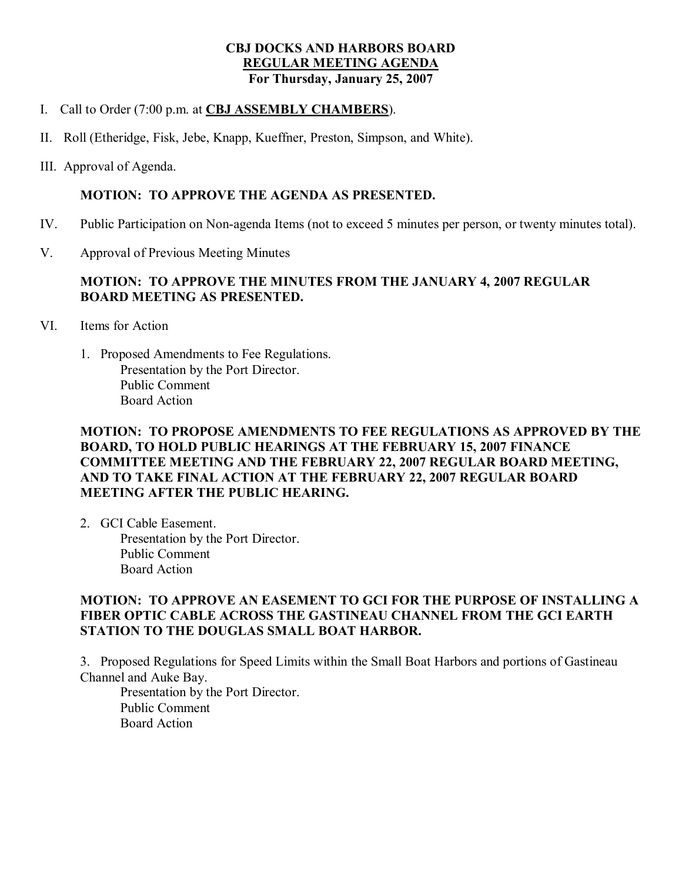## **CBJ DOCKS AND HARBORS BOARD REGULAR MEETING AGENDA For Thursday, January 25, 2007**

- I. Call to Order (7:00 p.m. at **CBJ ASSEMBLY CHAMBERS**).
- II. Roll (Etheridge, Fisk, Jebe, Knapp, Kueffner, Preston, Simpson, and White).
- III. Approval of Agenda.

#### **MOTION: TO APPROVE THE AGENDA AS PRESENTED.**

- IV. Public Participation on Non-agenda Items (not to exceed 5 minutes per person, or twenty minutes total).
- V. Approval of Previous Meeting Minutes

### **MOTION: TO APPROVE THE MINUTES FROM THE JANUARY 4, 2007 REGULAR BOARD MEETING AS PRESENTED.**

- VI. Items for Action
	- 1. Proposed Amendments to Fee Regulations. Presentation by the Port Director. Public Comment Board Action

# **MOTION: TO PROPOSE AMENDMENTS TO FEE REGULATIONS AS APPROVED BY THE BOARD, TO HOLD PUBLIC HEARINGS AT THE FEBRUARY 15, 2007 FINANCE COMMITTEE MEETING AND THE FEBRUARY 22, 2007 REGULAR BOARD MEETING, AND TO TAKE FINAL ACTION AT THE FEBRUARY 22, 2007 REGULAR BOARD MEETING AFTER THE PUBLIC HEARING.**

2. GCI Cable Easement. Presentation by the Port Director. Public Comment Board Action

# **MOTION: TO APPROVE AN EASEMENT TO GCI FOR THE PURPOSE OF INSTALLING A FIBER OPTIC CABLE ACROSS THE GASTINEAU CHANNEL FROM THE GCI EARTH STATION TO THE DOUGLAS SMALL BOAT HARBOR.**

3. Proposed Regulations for Speed Limits within the Small Boat Harbors and portions of Gastineau Channel and Auke Bay.

Presentation by the Port Director. Public Comment Board Action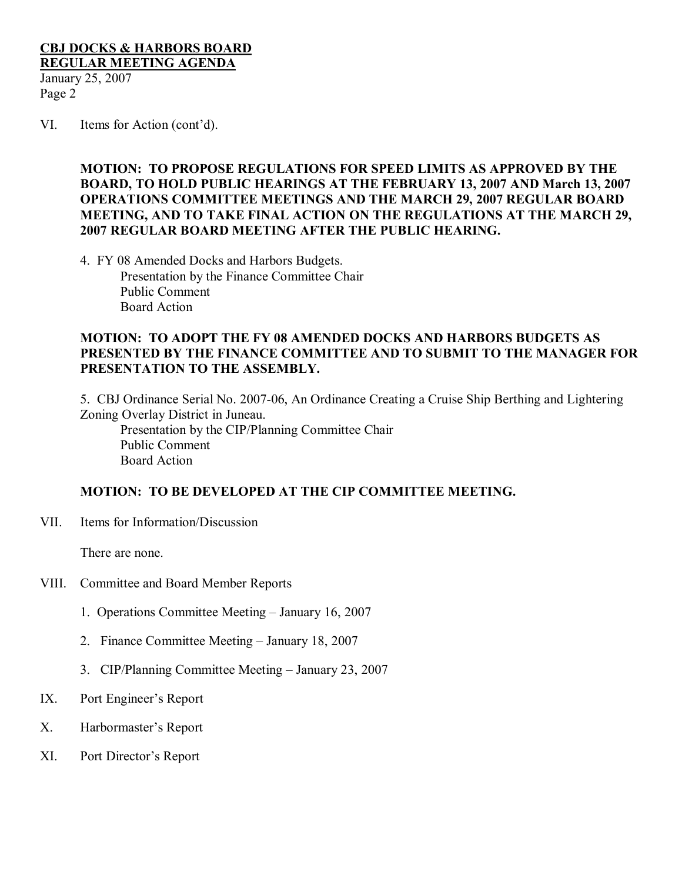# **CBJ DOCKS & HARBORS BOARD REGULAR MEETING AGENDA**

January 25, 2007 Page 2

VI. Items for Action (cont'd).

**MOTION: TO PROPOSE REGULATIONS FOR SPEED LIMITS AS APPROVED BY THE BOARD, TO HOLD PUBLIC HEARINGS AT THE FEBRUARY 13, 2007 AND March 13, 2007 OPERATIONS COMMITTEE MEETINGS AND THE MARCH 29, 2007 REGULAR BOARD MEETING, AND TO TAKE FINAL ACTION ON THE REGULATIONS AT THE MARCH 29, 2007 REGULAR BOARD MEETING AFTER THE PUBLIC HEARING.**

4. FY 08 Amended Docks and Harbors Budgets. Presentation by the Finance Committee Chair Public Comment Board Action

### **MOTION: TO ADOPT THE FY 08 AMENDED DOCKS AND HARBORS BUDGETS AS PRESENTED BY THE FINANCE COMMITTEE AND TO SUBMIT TO THE MANAGER FOR PRESENTATION TO THE ASSEMBLY.**

5. CBJ Ordinance Serial No. 2007-06, An Ordinance Creating a Cruise Ship Berthing and Lightering Zoning Overlay District in Juneau.

Presentation by the CIP/Planning Committee Chair Public Comment Board Action

### **MOTION: TO BE DEVELOPED AT THE CIP COMMITTEE MEETING.**

VII. Items for Information/Discussion

There are none.

- VIII. Committee and Board Member Reports
	- 1. Operations Committee Meeting January 16, 2007
	- 2. Finance Committee Meeting January 18, 2007
	- 3. CIP/Planning Committee Meeting January 23, 2007
- IX. Port Engineer's Report
- X. Harbormaster's Report
- XI. Port Director's Report